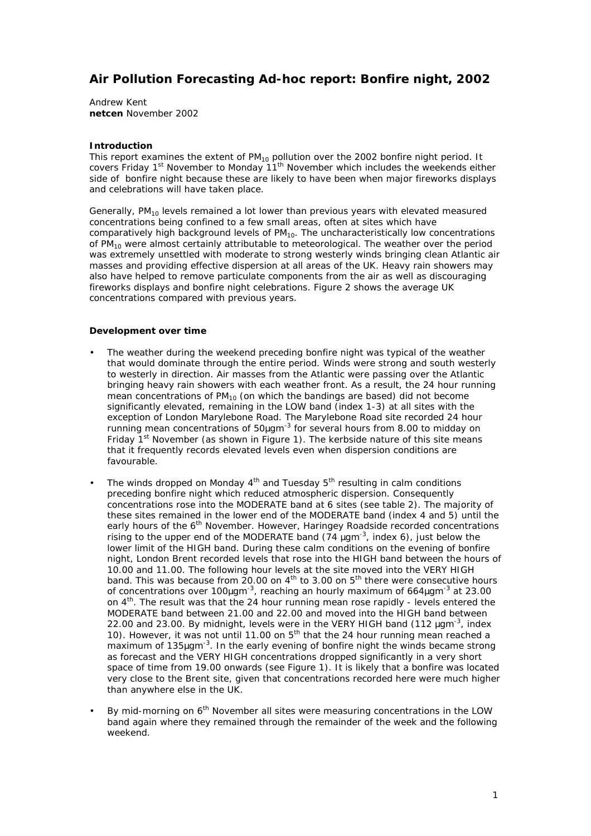# **Air Pollution Forecasting Ad-hoc report: Bonfire night, 2002**

Andrew Kent **netcen** November 2002

# **Introduction**

This report examines the extent of  $PM_{10}$  pollution over the 2002 bonfire night period. It covers Friday 1<sup>st</sup> November to Monday 11<sup>th</sup> November which includes the weekends either side of bonfire night because these are likely to have been when major fireworks displays and celebrations will have taken place.

Generally,  $PM_{10}$  levels remained a lot lower than previous years with elevated measured concentrations being confined to a few small areas, often at sites which have comparatively high background levels of  $PM_{10}$ . The uncharacteristically low concentrations of  $PM_{10}$  were almost certainly attributable to meteorological. The weather over the period was extremely unsettled with moderate to strong westerly winds bringing clean Atlantic air masses and providing effective dispersion at all areas of the UK. Heavy rain showers may also have helped to remove particulate components from the air as well as discouraging fireworks displays and bonfire night celebrations. Figure 2 shows the average UK concentrations compared with previous years.

## **Development over time**

- The weather during the weekend preceding bonfire night was typical of the weather that would dominate through the entire period. Winds were strong and south westerly to westerly in direction. Air masses from the Atlantic were passing over the Atlantic bringing heavy rain showers with each weather front. As a result, the 24 hour running mean concentrations of  $PM<sub>10</sub>$  (on which the bandings are based) did not become significantly elevated, remaining in the LOW band (index 1-3) at all sites with the exception of London Marylebone Road. The Marylebone Road site recorded 24 hour running mean concentrations of 50*m*gm-3 for several hours from 8.00 to midday on Friday 1<sup>st</sup> November (as shown in Figure 1). The kerbside nature of this site means that it frequently records elevated levels even when dispersion conditions are favourable.
- The winds dropped on Monday  $4<sup>th</sup>$  and Tuesday  $5<sup>th</sup>$  resulting in calm conditions preceding bonfire night which reduced atmospheric dispersion. Consequently concentrations rose into the MODERATE band at 6 sites (see table 2). The majority of these sites remained in the lower end of the MODERATE band (index 4 and 5) until the early hours of the 6<sup>th</sup> November. However, Haringey Roadside recorded concentrations rising to the upper end of the MODERATE band (74 *m*gm-3, index 6), just below the lower limit of the HIGH band. During these calm conditions on the evening of bonfire night, London Brent recorded levels that rose into the HIGH band between the hours of 10.00 and 11.00. The following hour levels at the site moved into the VERY HIGH band. This was because from 20.00 on  $4^{\text{th}}$  to 3.00 on  $5^{\text{th}}$  there were consecutive hours of concentrations over 100*m*gm-3, reaching an hourly maximum of 664*m*gm-3 at 23.00 on  $4<sup>th</sup>$ . The result was that the 24 hour running mean rose rapidly - levels entered the MODERATE band between 21.00 and 22.00 and moved into the HIGH band between 22.00 and 23.00. By midnight, levels were in the VERY HIGH band (112 *m*gm-3, index 10). However, it was not until 11.00 on  $5<sup>th</sup>$  that the 24 hour running mean reached a maximum of 135*m*gm-3. In the early evening of bonfire night the winds became strong as forecast and the VERY HIGH concentrations dropped significantly in a very short space of time from 19.00 onwards (see Figure 1). It is likely that a bonfire was located very close to the Brent site, given that concentrations recorded here were much higher than anywhere else in the UK.
- By mid-morning on  $6<sup>th</sup>$  November all sites were measuring concentrations in the LOW band again where they remained through the remainder of the week and the following weekend.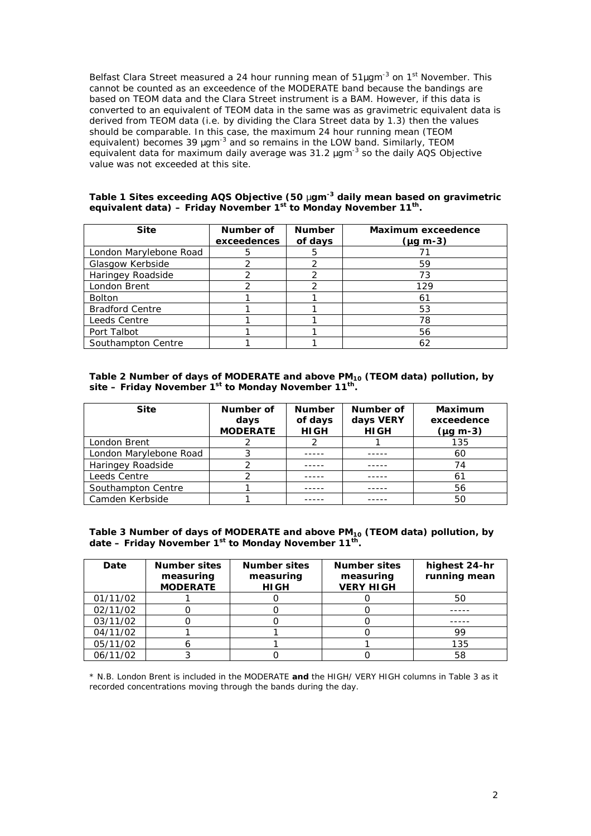Belfast Clara Street measured a 24 hour running mean of 51mgm<sup>-3</sup> on 1<sup>st</sup> November. This cannot be counted as an exceedence of the MODERATE band because the bandings are based on TEOM data and the Clara Street instrument is a BAM. However, if this data is converted to an equivalent of TEOM data in the same was as gravimetric equivalent data is derived from TEOM data (i.e. by *dividing* the Clara Street data by 1.3) then the values should be comparable. In this case, the maximum 24 hour running mean (TEOM equivalent) becomes 39 *m*gm<sup>-3</sup> and so remains in the LOW band. Similarly, TEOM equivalent data for maximum daily average was 31.2 *m*gm-3 so the daily AQS Objective value was not exceeded at this site.

#### **Table 1 Sites exceeding AQS Objective (50** *m***gm-3 daily mean based on gravimetric equivalent data) – Friday November 1st to Monday November 11th .**

| <b>Site</b>            | Number of<br>exceedences | <b>Number</b><br>of days | Maximum exceedence<br>$(\mu g \, m-3)$ |  |
|------------------------|--------------------------|--------------------------|----------------------------------------|--|
| London Marylebone Road | 5                        | 5                        |                                        |  |
| Glasgow Kerbside       |                          | 2                        | 59                                     |  |
| Haringey Roadside      |                          | າ                        | 73                                     |  |
| London Brent           |                          |                          | 129                                    |  |
| <b>Bolton</b>          |                          |                          | 61                                     |  |
| <b>Bradford Centre</b> |                          |                          | 53                                     |  |
| Leeds Centre           |                          |                          | 78                                     |  |
| Port Talbot            |                          |                          | 56                                     |  |
| Southampton Centre     |                          |                          | 62                                     |  |

# **Table 2 Number of days of MODERATE and above PM10 (TEOM data) pollution, by site – Friday November 1st to Monday November 11th .**

| <b>Site</b>            | Number of<br>days | <b>Number</b><br>of days | Number of<br>days VERY | Maximum<br>exceedence |
|------------------------|-------------------|--------------------------|------------------------|-----------------------|
|                        | <b>MODERATE</b>   | <b>HIGH</b>              | <b>HIGH</b>            | $(\mu q \, m-3)$      |
| London Brent           |                   |                          |                        | 135                   |
| London Marylebone Road |                   |                          |                        | 60                    |
| Haringey Roadside      |                   |                          |                        | 74                    |
| Leeds Centre           |                   |                          |                        | 61                    |
| Southampton Centre     |                   |                          |                        | 56                    |
| Camden Kerbside        |                   |                          |                        | 50                    |

#### **Table 3 Number of days of MODERATE and above PM10 (TEOM data) pollution, by date – Friday November 1st to Monday November 11th .**

| Date     | <b>Number sites</b><br>measuring<br><b>MODERATE</b> | <b>Number sites</b><br>measuring<br><b>HIGH</b> | <b>Number sites</b><br>measuring<br><b>VERY HIGH</b> | highest 24-hr<br>running mean |
|----------|-----------------------------------------------------|-------------------------------------------------|------------------------------------------------------|-------------------------------|
| 01/11/02 |                                                     |                                                 |                                                      | 50                            |
| 02/11/02 |                                                     |                                                 |                                                      |                               |
| 03/11/02 |                                                     |                                                 |                                                      |                               |
| 04/11/02 |                                                     |                                                 |                                                      | 99                            |
| 05/11/02 |                                                     |                                                 |                                                      | 135                           |
| 06/11/02 |                                                     |                                                 |                                                      | 58                            |

\* N.B. London Brent is included in the MODERATE **and** the HIGH/ VERY HIGH columns in Table 3 as it recorded concentrations moving through the bands during the day.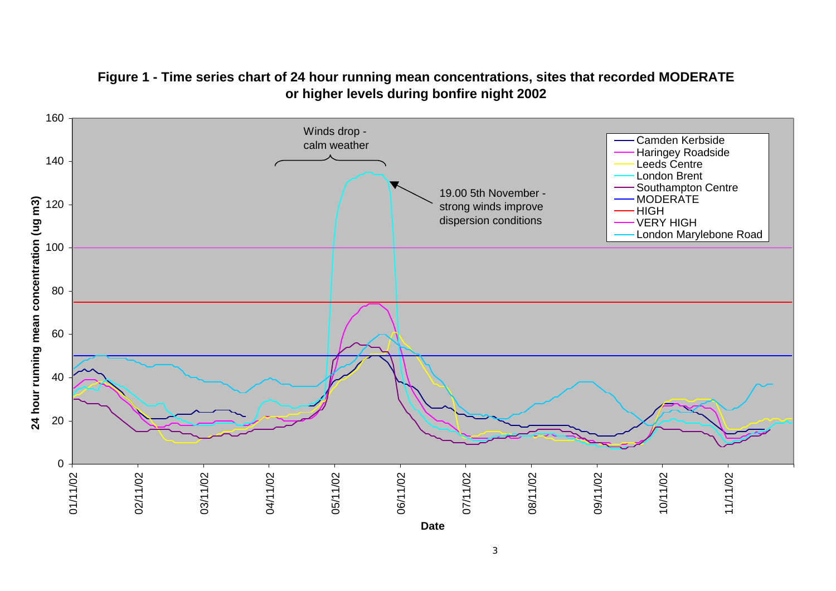

# **Figure 1 - Time series chart of 24 hour running mean concentrations, sites that recorded MODERATE or higher levels during bonfire night 2002**